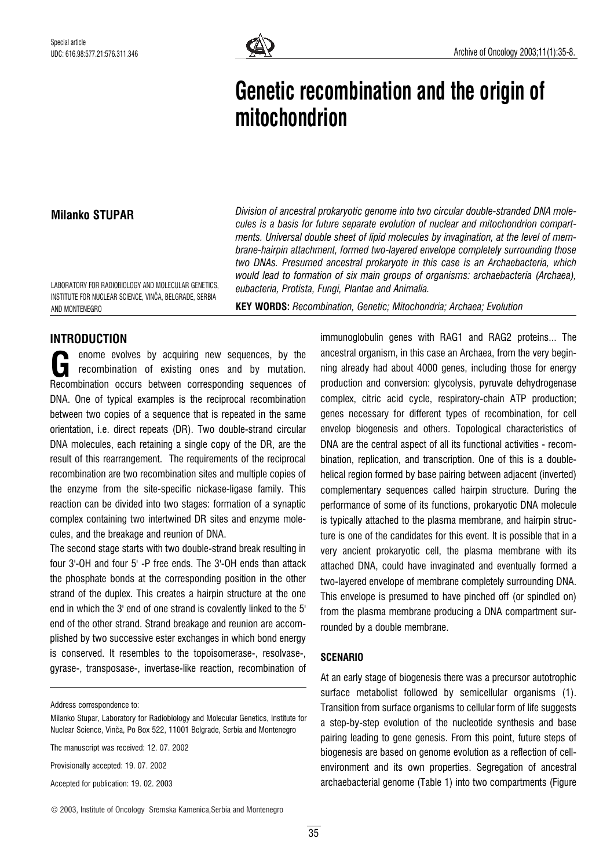

# Genetic recombination and the origin of mitochondrion

## Milanko STUPAR

Division of ancestral prokaryotic genome into two circular double-stranded DNA molecules is a basis for future separate evolution of nuclear and mitochondrion compartments. Universal double sheet of lipid molecules by invagination, at the level of membrane-hairpin attachment, formed two-layered envelope completely surrounding those two DNAs. Presumed ancestral prokaryote in this case is an Archaebacteria, which would lead to formation of six main groups of organisms: archaebacteria (Archaea), eubacteria, Protista, Fungi, Plantae and Animalia.

LABORATORY FOR RADIOBIOLOGY AND MOLECULAR GENETICS, INSTITUTE FOR NUCLEAR SCIENCE, VINČA, BELGRADE, SERBIA AND MONTENEGRO

KEY WORDS: Recombination, Genetic; Mitochondria; Archaea; Evolution

## INTRODUCTION

enome evolves by acquiring new sequences, by the recombination of existing ones and by mutation. enome evolves by acquiring new sequences, by the<br>recombination of existing ones and by mutation.<br>Recombination occurs between corresponding sequences of DNA. One of typical examples is the reciprocal recombination between two copies of a sequence that is repeated in the same orientation, i.e. direct repeats (DR). Two double-strand circular DNA molecules, each retaining a single copy of the DR, are the result of this rearrangement. The requirements of the reciprocal recombination are two recombination sites and multiple copies of the enzyme from the site-specific nickase-ligase family. This reaction can be divided into two stages: formation of a synaptic complex containing two intertwined DR sites and enzyme molecules, and the breakage and reunion of DNA.

The second stage starts with two double-strand break resulting in four 3'-OH and four 5' -P free ends. The 3'-OH ends than attack the phosphate bonds at the corresponding position in the other strand of the duplex. This creates a hairpin structure at the one end in which the 3' end of one strand is covalently linked to the 5' end of the other strand. Strand breakage and reunion are accomplished by two successive ester exchanges in which bond energy is conserved. It resembles to the topoisomerase-, resolvase-, gyrase-, transposase-, invertase-like reaction, recombination of

Address correspondence to:

Milanko Stupar, Laboratory for Radiobiology and Molecular Genetics, Institute for Nuclear Science, VinËa, Po Box 522, 11001 Belgrade, Serbia and Montenegro

The manuscript was received: 12. 07. 2002

Provisionally accepted: 19. 07. 2002

Accepted for publication: 19. 02. 2003

© 2003, Institute of Oncology Sremska Kamenica,Serbia and Montenegro

immunoglobulin genes with RAG1 and RAG2 proteins... The ancestral organism, in this case an Archaea, from the very beginning already had about 4000 genes, including those for energy production and conversion: glycolysis, pyruvate dehydrogenase complex, citric acid cycle, respiratory-chain ATP production; genes necessary for different types of recombination, for cell envelop biogenesis and others. Topological characteristics of DNA are the central aspect of all its functional activities - recombination, replication, and transcription. One of this is a doublehelical region formed by base pairing between adjacent (inverted) complementary sequences called hairpin structure. During the performance of some of its functions, prokaryotic DNA molecule is typically attached to the plasma membrane, and hairpin structure is one of the candidates for this event. It is possible that in a very ancient prokaryotic cell, the plasma membrane with its attached DNA, could have invaginated and eventually formed a two-layered envelope of membrane completely surrounding DNA. This envelope is presumed to have pinched off (or spindled on) from the plasma membrane producing a DNA compartment surrounded by a double membrane.

## **SCENARIO**

At an early stage of biogenesis there was a precursor autotrophic surface metabolist followed by semicellular organisms (1). Transition from surface organisms to cellular form of life suggests a step-by-step evolution of the nucleotide synthesis and base pairing leading to gene genesis. From this point, future steps of biogenesis are based on genome evolution as a reflection of cellenvironment and its own properties. Segregation of ancestral archaebacterial genome (Table 1) into two compartments (Figure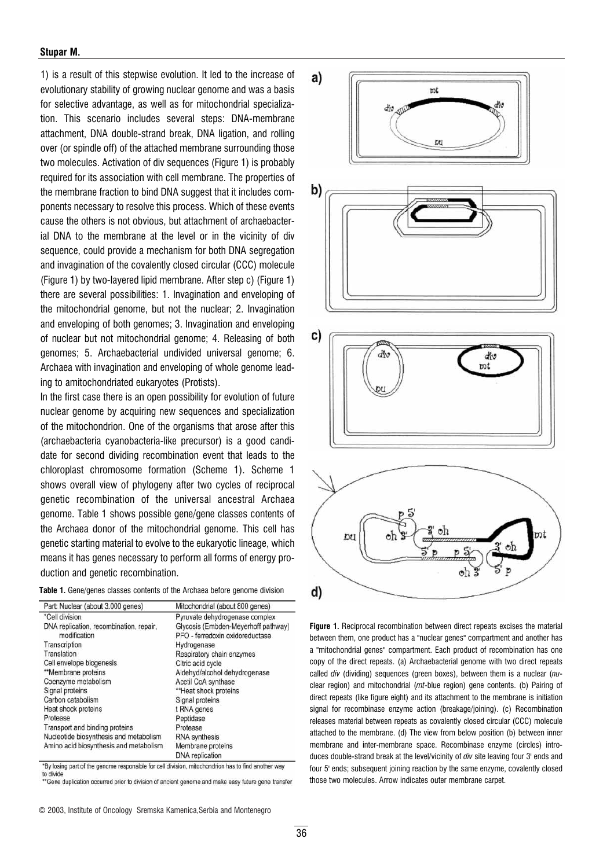#### Stupar M.

1) is a result of this stepwise evolution. It led to the increase of evolutionary stability of growing nuclear genome and was a basis for selective advantage, as well as for mitochondrial specialization. This scenario includes several steps: DNA-membrane attachment, DNA double-strand break, DNA ligation, and rolling over (or spindle off) of the attached membrane surrounding those two molecules. Activation of div sequences (Figure 1) is probably required for its association with cell membrane. The properties of the membrane fraction to bind DNA suggest that it includes components necessary to resolve this process. Which of these events cause the others is not obvious, but attachment of archaebacterial DNA to the membrane at the level or in the vicinity of div sequence, could provide a mechanism for both DNA segregation and invagination of the covalently closed circular (CCC) molecule (Figure 1) by two-layered lipid membrane. After step c) (Figure 1) there are several possibilities: 1. Invagination and enveloping of the mitochondrial genome, but not the nuclear; 2. Invagination and enveloping of both genomes; 3. Invagination and enveloping of nuclear but not mitochondrial genome; 4. Releasing of both genomes; 5. Archaebacterial undivided universal genome; 6. Archaea with invagination and enveloping of whole genome leading to amitochondriated eukaryotes (Protists).

In the first case there is an open possibility for evolution of future nuclear genome by acquiring new sequences and specialization of the mitochondrion. One of the organisms that arose after this (archaebacteria cyanobacteria-like precursor) is a good candidate for second dividing recombination event that leads to the chloroplast chromosome formation (Scheme 1). Scheme 1 shows overall view of phylogeny after two cycles of reciprocal genetic recombination of the universal ancestral Archaea genome. Table 1 shows possible gene/gene classes contents of the Archaea donor of the mitochondrial genome. This cell has genetic starting material to evolve to the eukaryotic lineage, which means it has genes necessary to perform all forms of energy production and genetic recombination.

|  |  |  |  |  |  | <b>Table 1.</b> Gene/genes classes contents of the Archaea before genome division |  |  |  |  |  |  |  |
|--|--|--|--|--|--|-----------------------------------------------------------------------------------|--|--|--|--|--|--|--|
|--|--|--|--|--|--|-----------------------------------------------------------------------------------|--|--|--|--|--|--|--|

| Part: Nuclear (about 3.000 genes)       | Mitochondrial (about 800 genes)     |  |  |  |  |  |
|-----------------------------------------|-------------------------------------|--|--|--|--|--|
| *Cell division                          | Pyruvate dehydrogenase complex      |  |  |  |  |  |
| DNA replication, recombination, repair, | Glycosis (Embden-Meyerhoff pathway) |  |  |  |  |  |
| modification                            | PFO - ferredoxin oxidoreductase     |  |  |  |  |  |
| Transcription                           | Hydrogenase                         |  |  |  |  |  |
| Translation                             | Respiratory chain enzymes           |  |  |  |  |  |
| Cell envelope biogenesis                | Citric acid cycle                   |  |  |  |  |  |
| **Membrane proteins                     | Aldehyd/alcohol dehydrogenase       |  |  |  |  |  |
| Coenzyme metabolism                     | Acetil CoA synthase                 |  |  |  |  |  |
| Signal proteins                         | **Heat shock proteins               |  |  |  |  |  |
| Carbon catabolism                       | Signal proteins                     |  |  |  |  |  |
| Heat shock proteins                     | t RNA genes                         |  |  |  |  |  |
| Protease                                | Peptidase                           |  |  |  |  |  |
| Transport and binding proteins          | Protease                            |  |  |  |  |  |
| Nucleotide biosynthesis and metabolism  | <b>RNA</b> synthesis                |  |  |  |  |  |
| Amino acid biosynthesis and metabolism  | Membrane proteins                   |  |  |  |  |  |
|                                         | DNA replication                     |  |  |  |  |  |

"By losing part of the genome responsible for cell division, mitochondrion has to find another way to divide

\*Gene duplication occurred prior to division of ancient genome and make easy future gene transfer



Figure 1. Reciprocal recombination between direct repeats excises the material between them, one product has a "nuclear genes" compartment and another has a "mitochondrial genes" compartment. Each product of recombination has one copy of the direct repeats. (a) Archaebacterial genome with two direct repeats called div (dividing) sequences (green boxes), between them is a nuclear (nuclear region) and mitochondrial (mt-blue region) gene contents. (b) Pairing of direct repeats (like figure eight) and its attachment to the membrane is initiation signal for recombinase enzyme action (breakage/joining). (c) Recombination releases material between repeats as covalently closed circular (CCC) molecule attached to the membrane. (d) The view from below position (b) between inner membrane and inter-membrane space. Recombinase enzyme (circles) introduces double-strand break at the level/vicinity of div site leaving four 3' ends and four 5' ends; subsequent joining reaction by the same enzyme, covalently closed those two molecules. Arrow indicates outer membrane carpet.

<sup>©</sup> 2003, Institute of Oncology Sremska Kamenica,Serbia and Montenegro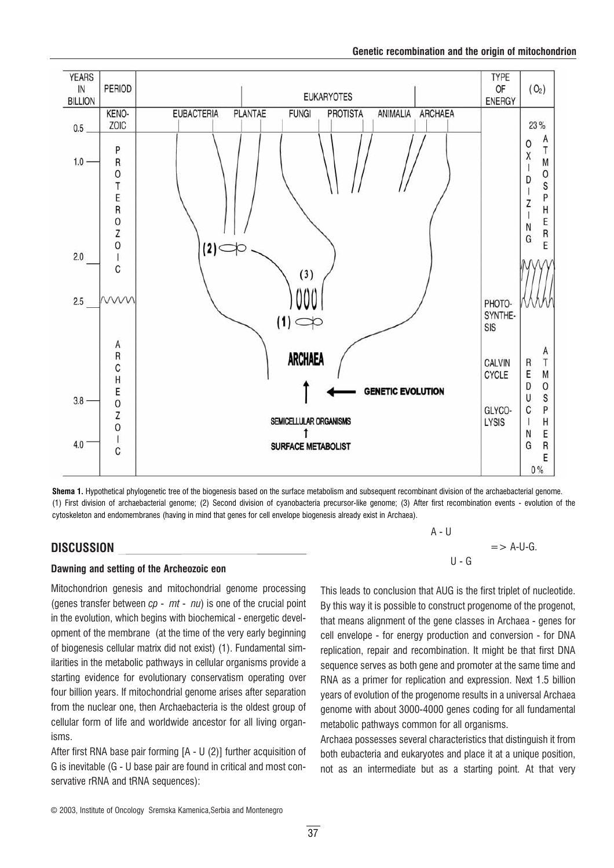



Shema 1. Hypothetical phylogenetic tree of the biogenesis based on the surface metabolism and subsequent recombinant division of the archaebacterial genome. (1) First division of archaebacterial genome; (2) Second division of cyanobacteria precursor-like genome; (3) After first recombination events - evolution of the cytoskeleton and endomembranes (having in mind that genes for cell envelope biogenesis already exist in Archaea).

## DISCUSSION

## Dawning and setting of the Archeozoic eon

Mitochondrion genesis and mitochondrial genome processing (genes transfer between  $cp - mt - nu$ ) is one of the crucial point in the evolution, which begins with biochemical - energetic development of the membrane (at the time of the very early beginning of biogenesis cellular matrix did not exist) (1). Fundamental similarities in the metabolic pathways in cellular organisms provide a starting evidence for evolutionary conservatism operating over four billion years. If mitochondrial genome arises after separation from the nuclear one, then Archaebacteria is the oldest group of cellular form of life and worldwide ancestor for all living organisms.

After first RNA base pair forming  $[A - U (2)]$  further acquisition of G is inevitable (G - U base pair are found in critical and most conservative rRNA and tRNA sequences):

 $A - U$  $=$  > A-U-G.  $U - G$ 

This leads to conclusion that AUG is the first triplet of nucleotide. By this way it is possible to construct progenome of the progenot, that means alignment of the gene classes in Archaea - genes for cell envelope - for energy production and conversion - for DNA replication, repair and recombination. It might be that first DNA sequence serves as both gene and promoter at the same time and RNA as a primer for replication and expression. Next 1.5 billion years of evolution of the progenome results in a universal Archaea genome with about 3000-4000 genes coding for all fundamental metabolic pathways common for all organisms.

Archaea possesses several characteristics that distinguish it from both eubacteria and eukaryotes and place it at a unique position, not as an intermediate but as a starting point. At that very